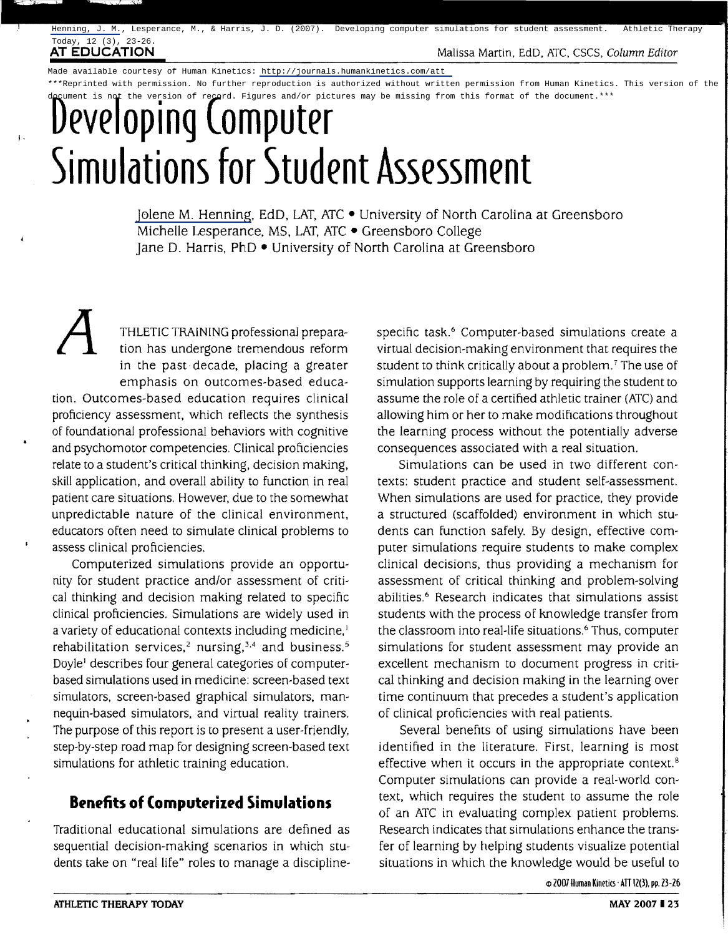I.

**AT EDUCATION Malissa Martin, EdD, ATC, CSCS, Column Editor Malissa Martin, EdD, ATC, CSCS, Column Editor** 

Made available courtesy of Human Kinetics:<http://journals.humankinetics.com/att> \*\*\*Reprinted with permission. No further reproduction is authorized without written permission from Human Kinetics. This version of the the version of record. Figures and/or pictures may be missing from this format of the document.\*\*\*

# **Developing Computer Simuldtions for Student Assessment**

[Jolene M. Henning,](http://libres.uncg.edu/ir/uncg/clist.aspx?id=1602) EdD. LAT, ATC • University of North Carolina at Greensboro Michelle Lesperance, MS, LAT, ATC • Greensboro College Jane D. Harris, PhD • University of North Carolina at Greensboro

THLETIC TRAINING professional prepara-<br>tion has undergone tremendous reform<br>in the past decade, placing a greater tion has undergone tremendous reform in the past decade, placing a greater emphasis on outcomes-based education. Outcomes-based education requires clinical proficiency assessment, which reflects the synthesis of foundational professional behaviors with cognitive and psychomotor competencies. Clinical proficiencies relate to a student's critical thinking, decision making, skill application, and overall ability to function in real patient care situations. However. due to the somewhat unpredictable nature of the clinical environment, educators often need to simulate clinical problems to assess clinical proficiencies.

Computerized simulations provide an opportunity for student practice and/or assessment of critical thinking and decision making related to specific clinical proficiencies. Simulations are widely used in a variety of educational contexts including medicine,<sup>1</sup> rehabilitation services,<sup>2</sup> nursing,<sup>3,4</sup> and business.<sup>5</sup> Doyle! describes four general categories of computerbased simulations used in medicine: screen-based text simulators, screen-based graphical simulators, mannequin-based simulators, and virtual reality trainers. The purpose of this report is to present a user-friendly, step-by-step road map for designing screen-based text simulations for athletic training education.

# **Benefits of Computerized Simulations**

Traditional educational simulations are defined as sequential decision-making scenarios in which students take on "real life" roles to manage a disciplinespecific task.<sup>6</sup> Computer-based simulations create a virtual decision-making environment that requires the student to think critically about a problem.<sup>7</sup> The use of simulation supports learning by requiring the student to assume the role of a certified athletic trainer (ATC) and allowing him or her to make modifications throughout the learning process without the potentially adverse consequences associated with a real situation.

Simulations can be used in two different contexts: student practice and student self-assessment. When simulations are used for practice, they provide a structured (scaffolded) environment in which students can function safely. By design, effective computer simulations require students to make complex clinical decisions, thus providing a mechanism for assessment of critical thinking and problem-solving abilities.<sup>6</sup> Research indicates that simulations assist students with the process of knowledge transfer from the classroom into real-life situations.<sup>6</sup> Thus, computer simulations for student assessment may provide an excellent mechanism to document progress in critical thinking and decision making in the learning over time continuum that precedes a student's application of clinical proficiencies with real patients.

Several benefits of using simulations have been identified in the literature. First, learning is most effective when it occurs in the appropriate context.<sup>8</sup> Computer simulations can provide a real-world context, which requires the student to assume the role of an ATC in evaluating complex patient problems. Research indicates that simulations enhance the transfer of learning by helping students visualize potential situations in which the knowledge would be useful to

(!) 2007 Human Kineti(s' All 12(3). pp.Z3-Z6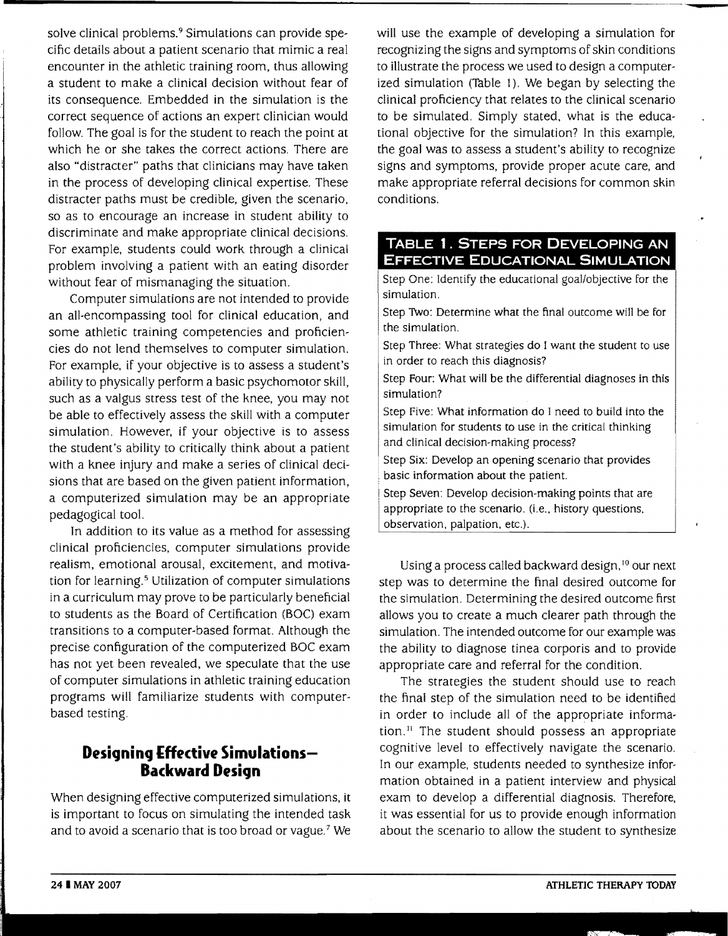solve clinical problems.<sup>9</sup> Simulations can provide specific details about a patient scenario that mimic a real encounter in the athletic training room, thus allowing a student to make a clinical decision without fear of its consequence. Embedded in the simulation is the correct sequence of actions an expert clinician would follow. The goal is for the student to reach the point at which he or she takes the correct actions. There are also "distracter" paths that clinicians may have taken in the process of developing clinical expertise. These distracter paths must be credible, given the scenario, so as to encourage an increase in student ability to discriminate and make appropriate clinical decisions. For example, students could work through a clinical problem involving a patient with an eating disorder without fear of mismanaging the situation.

Computer simulations are not intended to provide an all-encompassing tool for clinical education, and some athletic training competencies and proficiencies do not lend themselves to computer simulation. For example, if your objective is to assess a student's ability to physically perform a basic psychomotor skill, such as a valgus stress test of the knee, you may not be able to effectively assess the skill with a computer simulation. However, if your objective is to assess the student's ability to critically think about a patient with a knee injury and make a series of clinical decisions that are based on the given patient information, a computerized simulation may be an appropriate pedagogical tool.

In addition to its value as a method for assessing clinical proficiencies, computer simulations provide realism, emotional arousal, excitement, and motivation for learning.<sup>5</sup> Utilization of computer simulations in a curriculum may prove to be particularly beneficial to students as the Board of Certification (BOC) exam transitions to a computer-based format. Although the precise configuration of the computerized BOC exam has not yet been revealed, we speculate that the use of computer simulations in athletic training education programs will familiarize students with computerbased testing.

# **Designing Effective Simulations-Backward Design**

When designing effective computerized simulations, it is important to focus on simulating the intended task and to avoid a scenario that is too broad or vague. $7$  We will use the example of developing a simulation for recognizing the signs and symptoms of skin conditions to illustrate the process we used to design a computerized simulation (Table 1). We began by selecting the clinical proficiency that relates to the clinical scenario to be simulated. Simply stated, what is the educational objective for the simulation? In this example, the goal was to assess a student's ability to recognize signs and symptoms, provide proper acute care, and make appropriate referral decisions for common skin conditions.

### **TABLE 1. STEPS FOR DEVELOPING AN EFFECTIVE EDUCATIONAL SIMULATION**

Step One: Identify the educational goal/objective for the simulation.

Step Two: Determine what the final outcome will be for the simulation.

Step Three: What strategies do I want the student to use in order to reach this diagnosis?

Step Four: What will be the differential diagnoses in this simulation?

Step Five: What information do I need to build into the simulation for students to use in the critical thinking and clinical decision-making process?

Step Six: Develop an opening scenario that provides basic information about the patient.

Step Seven: Develop decision-making points that are appropriate to the scenario. (i.e., history questions, observation, palpation, etc.).

Using a process called backward design,<sup>10</sup> our next step was to determine the final desired outcome for the simulation. Determining the desired outcome first allows you to create a much clearer path through the simulation. The intended outcome for our example was the ability to diagnose tinea corporis and to provide appropriate care and referral for the condition.

The strategies the student should use to reach the final step of the simulation need to be identified in order to include all of the appropriate information. $<sup>11</sup>$  The student should possess an appropriate</sup> cognitive level to effectively navigate the scenario. In our example, students needed to synthesize information obtained in a patient interview and physical exam to develop a differential diagnosis. Therefore, it was essential for us to provide enough information about the scenario to allow the student to synthesize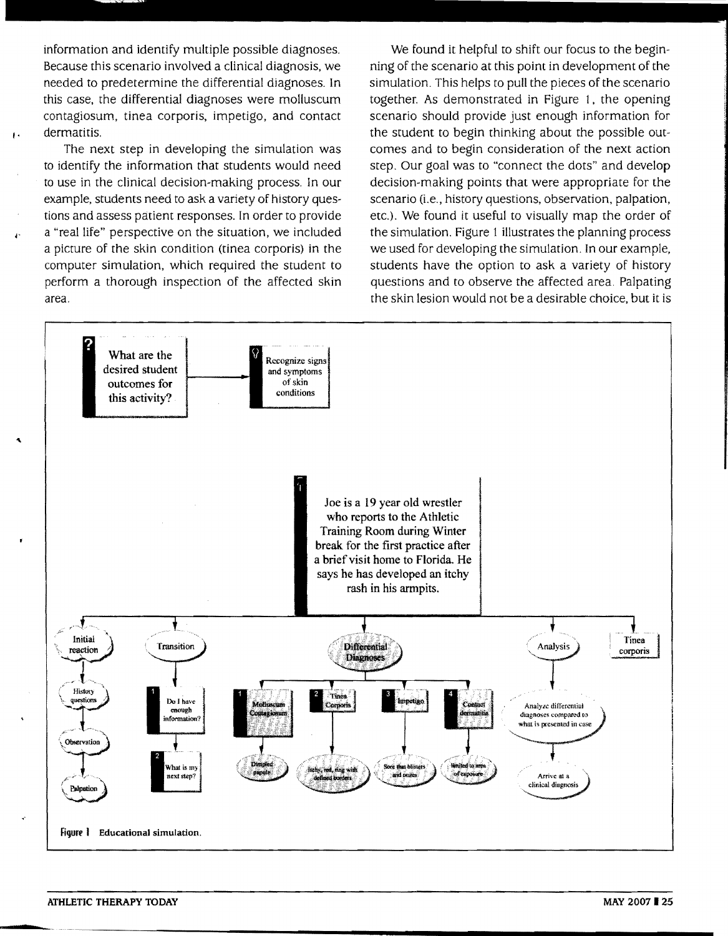information and identify multiple possible diagnoses. Because this scenario involved a clinical diagnosis, we needed to predetermine the differential diagnoses. In this case, the differential diagnoses were molluscum contagiosum, tinea corporis, impetigo, and contact dermatitis.

I·

 $\ddot{\cdot}$ 

...

The next step in developing the simulation was to identify the information that students would need to use in the clinical decision~making process. In our example, students need to ask a variety of history questions and assess patient responses. In order to provide a "real life" perspective on the situation, we included a picture of the skin condition (tinea corporis) in the computer simulation, which required the student to perform a thorough inspection of the affected skin area.

We found it helpful to shift our focus to the beginning of the scenario at this point in development of the simulation. This helps to pull the pieces of the scenario together. As demonstrated in Figure 1, the opening scenario should provide just enough information for the student to begin thinking about the possible outcomes and to begin consideration of the next action step. Our goal was to "connect the dots" and develop decision-making points that were appropriate for the scenario (i.e., history questions, observation, palpation, etc.). We found it useful to visually map the order of the simulation. Figure 1 illustrates the planning process we used for developing the simulation. In our example, students have the option to ask a variety of history questions and to observe the affected area. Palpating the skin lesion would not be a deSirable choice, but it is



**•**